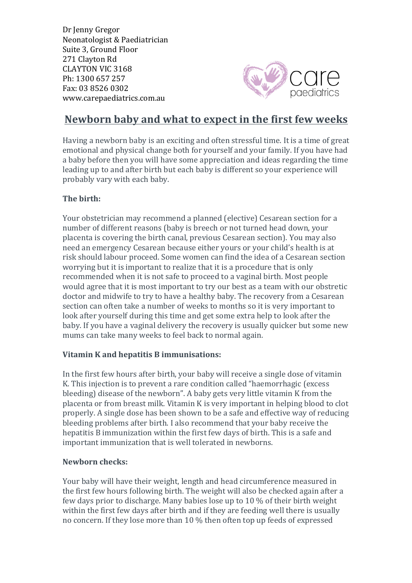Dr Jenny Gregor Neonatologist & Paediatrician Suite 3, Ground Floor 271 Clayton Rd CLAYTON VIC 3168 Ph: 1300 657 257 Fax: 03 8526 0302 www.carepaediatrics.com.au



# Newborn baby and what to expect in the first few weeks

Having a newborn baby is an exciting and often stressful time. It is a time of great emotional and physical change both for yourself and your family. If you have had a baby before then you will have some appreciation and ideas regarding the time leading up to and after birth but each baby is different so your experience will probably vary with each baby.

# **The birth:**

Your obstetrician may recommend a planned (elective) Cesarean section for a number of different reasons (baby is breech or not turned head down, your placenta is covering the birth canal, previous Cesarean section). You may also need an emergency Cesarean because either yours or your child's health is at risk should labour proceed. Some women can find the idea of a Cesarean section worrying but it is important to realize that it is a procedure that is only recommended when it is not safe to proceed to a vaginal birth. Most people would agree that it is most important to try our best as a team with our obstretic doctor and midwife to try to have a healthy baby. The recovery from a Cesarean section can often take a number of weeks to months so it is very important to look after yourself during this time and get some extra help to look after the baby. If you have a vaginal delivery the recovery is usually quicker but some new mums can take many weeks to feel back to normal again.

# **Vitamin K and hepatitis B immunisations:**

In the first few hours after birth, your baby will receive a single dose of vitamin K. This injection is to prevent a rare condition called "haemorrhagic (excess bleeding) disease of the newborn". A baby gets very little vitamin K from the placenta or from breast milk. Vitamin K is very important in helping blood to clot properly. A single dose has been shown to be a safe and effective way of reducing bleeding problems after birth. I also recommend that your baby receive the hepatitis B immunization within the first few days of birth. This is a safe and important immunization that is well tolerated in newborns.

# **Newborn checks:**

Your baby will have their weight, length and head circumference measured in the first few hours following birth. The weight will also be checked again after a few days prior to discharge. Many babies lose up to  $10\%$  of their birth weight within the first few days after birth and if they are feeding well there is usually no concern. If they lose more than 10 % then often top up feeds of expressed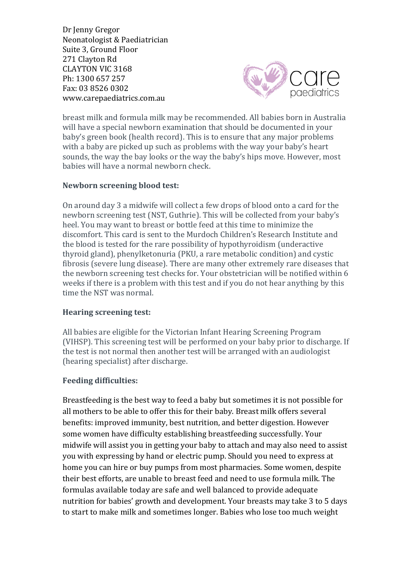Dr Jenny Gregor Neonatologist & Paediatrician Suite 3, Ground Floor 271 Clayton Rd CLAYTON VIC 3168 Ph: 1300 657 257 Fax: 03 8526 0302 www.carepaediatrics.com.au



breast milk and formula milk may be recommended. All babies born in Australia will have a special newborn examination that should be documented in your baby's green book (health record). This is to ensure that any major problems with a baby are picked up such as problems with the way your baby's heart sounds, the way the bay looks or the way the baby's hips move. However, most babies will have a normal newborn check.

### **Newborn screening blood test:**

On around day 3 a midwife will collect a few drops of blood onto a card for the newborn screening test (NST, Guthrie). This will be collected from your baby's heel. You may want to breast or bottle feed at this time to minimize the discomfort. This card is sent to the Murdoch Children's Research Institute and the blood is tested for the rare possibility of hypothyroidism (underactive thyroid gland), phenylketonuria (PKU, a rare metabolic condition) and cystic fibrosis (severe lung disease). There are many other extremely rare diseases that the newborn screening test checks for. Your obstetrician will be notified within 6 weeks if there is a problem with this test and if you do not hear anything by this time the NST was normal.

#### **Hearing screening test:**

All babies are eligible for the Victorian Infant Hearing Screening Program (VIHSP). This screening test will be performed on your baby prior to discharge. If the test is not normal then another test will be arranged with an audiologist (hearing specialist) after discharge.

### **Feeding difficulties:**

Breastfeeding is the best way to feed a baby but sometimes it is not possible for all mothers to be able to offer this for their baby. Breast milk offers several benefits: improved immunity, best nutrition, and better digestion. However some women have difficulty establishing breastfeeding successfully. Your midwife will assist you in getting your baby to attach and may also need to assist you with expressing by hand or electric pump. Should you need to express at home you can hire or buy pumps from most pharmacies. Some women, despite their best efforts, are unable to breast feed and need to use formula milk. The formulas available today are safe and well balanced to provide adequate nutrition for babies' growth and development. Your breasts may take 3 to 5 days to start to make milk and sometimes longer. Babies who lose too much weight